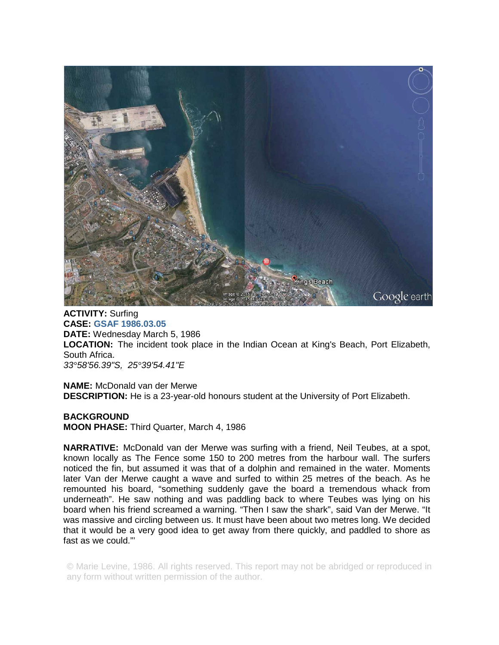

**ACTIVITY:** Surfing **CASE: GSAF 1986.03.05 DATE:** Wednesday March 5, 1986 **LOCATION:** The incident took place in the Indian Ocean at King's Beach, Port Elizabeth, South Africa. *33°58'56.39"S, 25°39'54.41"E* 

**NAME:** McDonald van der Merwe **DESCRIPTION:** He is a 23-year-old honours student at the University of Port Elizabeth.

**BACKGROUND MOON PHASE:** Third Quarter, March 4, 1986

**NARRATIVE:** McDonald van der Merwe was surfing with a friend, Neil Teubes, at a spot, known locally as The Fence some 150 to 200 metres from the harbour wall. The surfers noticed the fin, but assumed it was that of a dolphin and remained in the water. Moments later Van der Merwe caught a wave and surfed to within 25 metres of the beach. As he remounted his board, "something suddenly gave the board a tremendous whack from underneath". He saw nothing and was paddling back to where Teubes was lying on his board when his friend screamed a warning. "Then I saw the shark", said Van der Merwe. "It was massive and circling between us. It must have been about two metres long. We decided that it would be a very good idea to get away from there quickly, and paddled to shore as fast as we could."'

© Marie Levine, 1986. All rights reserved. This report may not be abridged or reproduced in any form without written permission of the author.